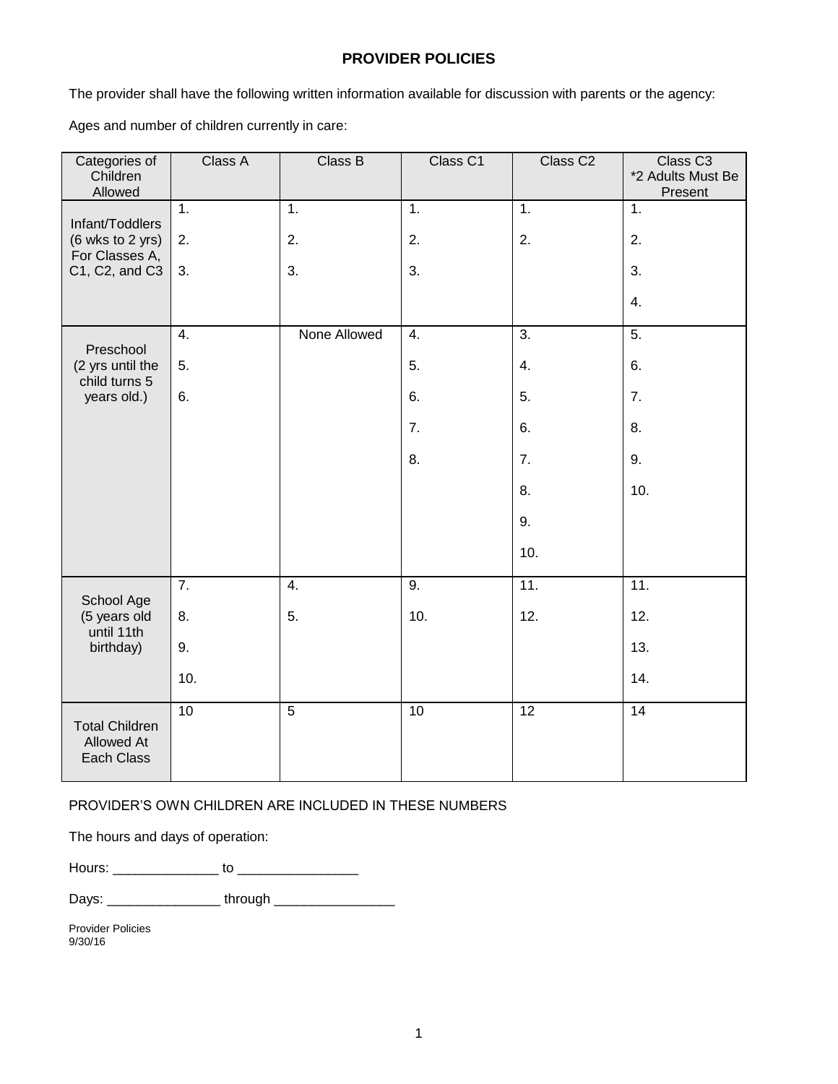## **PROVIDER POLICIES**

The provider shall have the following written information available for discussion with parents or the agency:

Ages and number of children currently in care:

| Categories of<br>Children<br>Allowed                 | Class A          | Class B          | Class C1         | Class C <sub>2</sub> | Class C <sub>3</sub><br>*2 Adults Must Be<br>Present |
|------------------------------------------------------|------------------|------------------|------------------|----------------------|------------------------------------------------------|
| Infant/Toddlers                                      | 1.               | 1.               | 1.               | $\overline{1}$ .     | 1.                                                   |
| (6 wks to 2 yrs)<br>For Classes A,<br>C1, C2, and C3 | 2.               | 2.               | 2.               | 2.                   | 2.                                                   |
|                                                      | 3.               | 3.               | 3.               |                      | 3.                                                   |
|                                                      |                  |                  |                  |                      | 4.                                                   |
| Preschool                                            | 4.               | None Allowed     | $\overline{4}$ . | 3.                   | 5.                                                   |
| (2 yrs until the<br>child turns 5<br>years old.)     | 5.               |                  | 5.               | 4.                   | 6.                                                   |
|                                                      | 6.               |                  | 6.               | 5.                   | 7.                                                   |
|                                                      |                  |                  | 7.               | 6.                   | 8.                                                   |
|                                                      |                  |                  | 8.               | 7.                   | 9.                                                   |
|                                                      |                  |                  |                  | 8.                   | 10.                                                  |
|                                                      |                  |                  |                  | 9.                   |                                                      |
|                                                      |                  |                  |                  | 10.                  |                                                      |
| School Age                                           | $\overline{7}$ . | $\overline{4}$ . | $\overline{9}$ . | 11.                  | 11.                                                  |
| (5 years old<br>until 11th                           | 8.               | 5.               | 10.              | 12.                  | 12.                                                  |
| birthday)                                            | 9.               |                  |                  |                      | 13.                                                  |
|                                                      | 10.              |                  |                  |                      | 14.                                                  |
| <b>Total Children</b><br>Allowed At<br>Each Class    | 10               | $\overline{5}$   | 10               | 12                   | 14                                                   |

PROVIDER'S OWN CHILDREN ARE INCLUDED IN THESE NUMBERS

The hours and days of operation:

Hours: \_\_\_\_\_\_\_\_\_\_\_\_\_\_ to \_\_\_\_\_\_\_\_\_\_\_\_\_\_\_\_

Days: \_\_\_\_\_\_\_\_\_\_\_\_\_\_\_ through \_\_\_\_\_\_\_\_\_\_\_\_\_\_\_\_

Provider Policies 9/30/16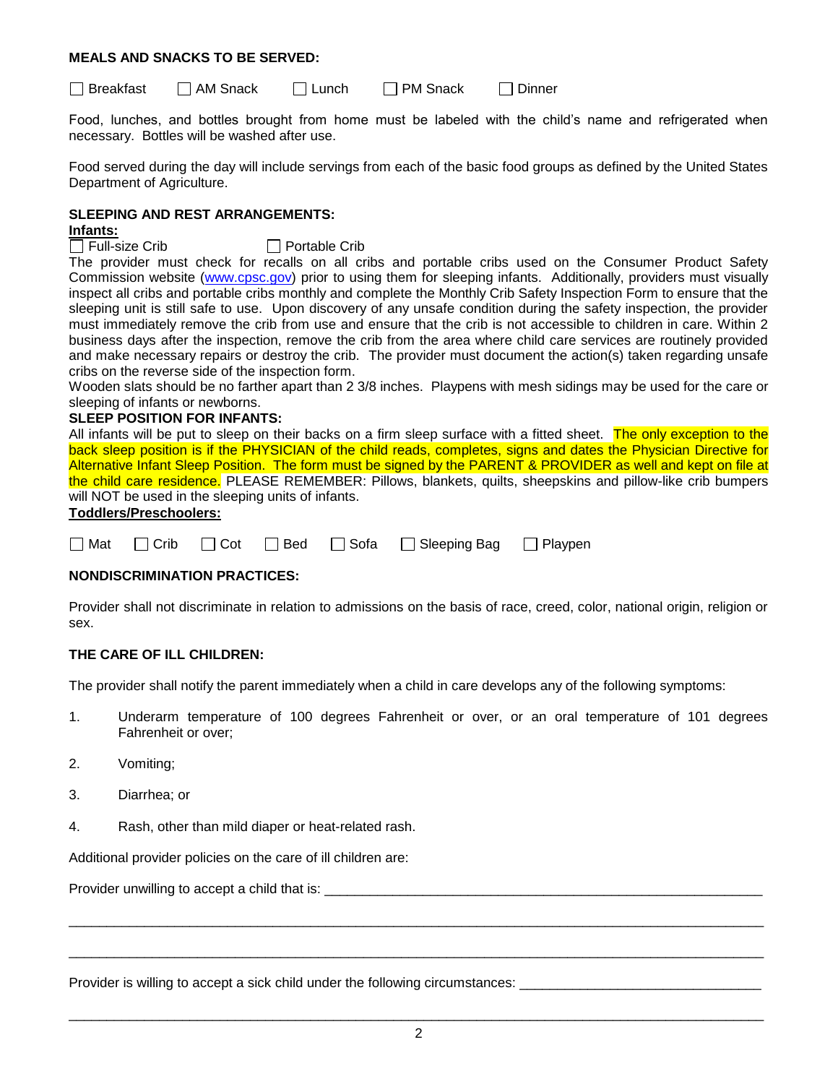## **MEALS AND SNACKS TO BE SERVED:**

Breakfast AM Snack Lunch PM Snack Dinner

Food, lunches, and bottles brought from home must be labeled with the child's name and refrigerated when necessary. Bottles will be washed after use.

Food served during the day will include servings from each of the basic food groups as defined by the United States Department of Agriculture.

## **SLEEPING AND REST ARRANGEMENTS:**

# **Infants:**<br>□ Full-size Crib

 $\Box$  Portable Crib

The provider must check for recalls on all cribs and portable cribs used on the Consumer Product Safety Commission website [\(www.cpsc.gov\)](http://www.cpsc.gov/) prior to using them for sleeping infants. Additionally, providers must visually inspect all cribs and portable cribs monthly and complete the Monthly Crib Safety Inspection Form to ensure that the sleeping unit is still safe to use. Upon discovery of any unsafe condition during the safety inspection, the provider must immediately remove the crib from use and ensure that the crib is not accessible to children in care. Within 2 business days after the inspection, remove the crib from the area where child care services are routinely provided and make necessary repairs or destroy the crib. The provider must document the action(s) taken regarding unsafe cribs on the reverse side of the inspection form.

Wooden slats should be no farther apart than 2 3/8 inches. Playpens with mesh sidings may be used for the care or sleeping of infants or newborns.

## **SLEEP POSITION FOR INFANTS:**

All infants will be put to sleep on their backs on a firm sleep surface with a fitted sheet. The only exception to the back sleep position is if the PHYSICIAN of the child reads, completes, signs and dates the Physician Directive for Alternative Infant Sleep Position. The form must be signed by the PARENT & PROVIDER as well and kept on file at the child care residence. PLEASE REMEMBER: Pillows, blankets, quilts, sheepskins and pillow-like crib bumpers will NOT be used in the sleeping units of infants.

## **Toddlers/Preschoolers:**

| □ Mat □ Crib □ Cot □ Bed □ Sofa □ Sleeping Bag □ Playpen |  |  |  |  |  |  |  |
|----------------------------------------------------------|--|--|--|--|--|--|--|
|----------------------------------------------------------|--|--|--|--|--|--|--|

## **NONDISCRIMINATION PRACTICES:**

Provider shall not discriminate in relation to admissions on the basis of race, creed, color, national origin, religion or sex.

## **THE CARE OF ILL CHILDREN:**

The provider shall notify the parent immediately when a child in care develops any of the following symptoms:

- 1. Underarm temperature of 100 degrees Fahrenheit or over, or an oral temperature of 101 degrees Fahrenheit or over;
- 2. Vomiting;
- 3. Diarrhea; or
- 4. Rash, other than mild diaper or heat-related rash.

Additional provider policies on the care of ill children are:

Provider unwilling to accept a child that is: **William Container and Container** Provider

Provider is willing to accept a sick child under the following circumstances: \_\_\_\_

 $\_$  ,  $\_$  ,  $\_$  ,  $\_$  ,  $\_$  ,  $\_$  ,  $\_$  ,  $\_$  ,  $\_$  ,  $\_$  ,  $\_$  ,  $\_$  ,  $\_$  ,  $\_$  ,  $\_$  ,  $\_$  ,  $\_$  ,  $\_$  ,  $\_$  ,  $\_$  ,  $\_$  ,  $\_$  ,  $\_$  ,  $\_$  ,  $\_$  ,  $\_$  ,  $\_$  ,  $\_$  ,  $\_$  ,  $\_$  ,  $\_$  ,  $\_$  ,  $\_$  ,  $\_$  ,  $\_$  ,  $\_$  ,  $\_$  ,

 $\_$  ,  $\_$  ,  $\_$  ,  $\_$  ,  $\_$  ,  $\_$  ,  $\_$  ,  $\_$  ,  $\_$  ,  $\_$  ,  $\_$  ,  $\_$  ,  $\_$  ,  $\_$  ,  $\_$  ,  $\_$  ,  $\_$  ,  $\_$  ,  $\_$  ,  $\_$  ,  $\_$  ,  $\_$  ,  $\_$  ,  $\_$  ,  $\_$  ,  $\_$  ,  $\_$  ,  $\_$  ,  $\_$  ,  $\_$  ,  $\_$  ,  $\_$  ,  $\_$  ,  $\_$  ,  $\_$  ,  $\_$  ,  $\_$  ,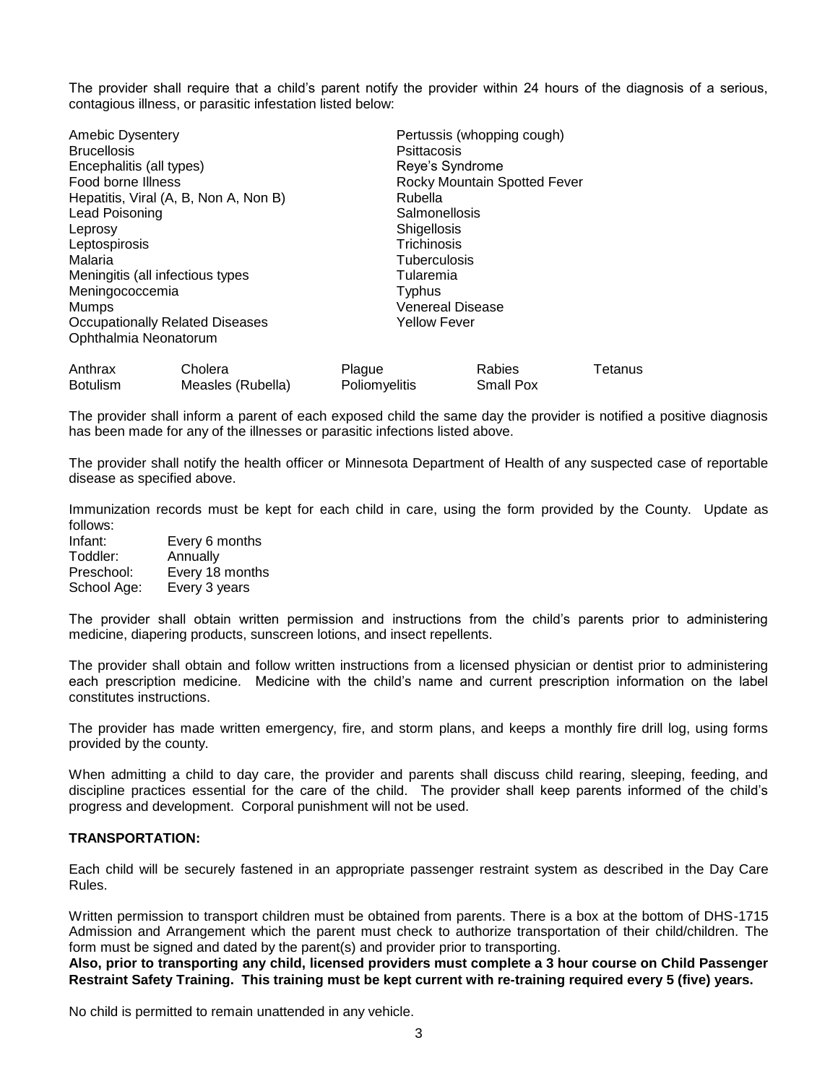The provider shall require that a child's parent notify the provider within 24 hours of the diagnosis of a serious, contagious illness, or parasitic infestation listed below:

| <b>Amebic Dysentery</b><br><b>Brucellosis</b><br>Encephalitis (all types)<br>Food borne Illness<br>Lead Poisoning<br>Leprosy<br>Leptospirosis<br>Malaria<br>Meningococcemia<br>Mumps<br>Ophthalmia Neonatorum | Hepatitis, Viral (A, B, Non A, Non B)<br>Meningitis (all infectious types<br><b>Occupationally Related Diseases</b> | Psittacosis<br>Rubella<br>Salmonellosis<br><b>Shigellosis</b><br>Trichinosis<br><b>Tuberculosis</b><br>Tularemia<br>Typhus<br><b>Yellow Fever</b> | Pertussis (whopping cough)<br>Reye's Syndrome<br>Rocky Mountain Spotted Fever<br><b>Venereal Disease</b> |         |
|---------------------------------------------------------------------------------------------------------------------------------------------------------------------------------------------------------------|---------------------------------------------------------------------------------------------------------------------|---------------------------------------------------------------------------------------------------------------------------------------------------|----------------------------------------------------------------------------------------------------------|---------|
| Anthrax                                                                                                                                                                                                       | Cholera                                                                                                             | Plague                                                                                                                                            | <b>Rabies</b>                                                                                            | Tetanus |
| <b>Botulism</b>                                                                                                                                                                                               | Measles (Rubella)                                                                                                   | <b>Poliomyelitis</b>                                                                                                                              | Small Pox                                                                                                |         |

The provider shall inform a parent of each exposed child the same day the provider is notified a positive diagnosis has been made for any of the illnesses or parasitic infections listed above.

The provider shall notify the health officer or Minnesota Department of Health of any suspected case of reportable disease as specified above.

Immunization records must be kept for each child in care, using the form provided by the County. Update as follows:

Infant: Every 6 months Toddler: Annually Preschool: Every 18 months School Age: Every 3 years

The provider shall obtain written permission and instructions from the child's parents prior to administering medicine, diapering products, sunscreen lotions, and insect repellents.

The provider shall obtain and follow written instructions from a licensed physician or dentist prior to administering each prescription medicine. Medicine with the child's name and current prescription information on the label constitutes instructions.

The provider has made written emergency, fire, and storm plans, and keeps a monthly fire drill log, using forms provided by the county.

When admitting a child to day care, the provider and parents shall discuss child rearing, sleeping, feeding, and discipline practices essential for the care of the child. The provider shall keep parents informed of the child's progress and development. Corporal punishment will not be used.

## **TRANSPORTATION:**

Each child will be securely fastened in an appropriate passenger restraint system as described in the Day Care Rules.

Written permission to transport children must be obtained from parents. There is a box at the bottom of DHS-1715 Admission and Arrangement which the parent must check to authorize transportation of their child/children. The form must be signed and dated by the parent(s) and provider prior to transporting.

**Also, prior to transporting any child, licensed providers must complete a 3 hour course on Child Passenger Restraint Safety Training. This training must be kept current with re-training required every 5 (five) years.**

No child is permitted to remain unattended in any vehicle.